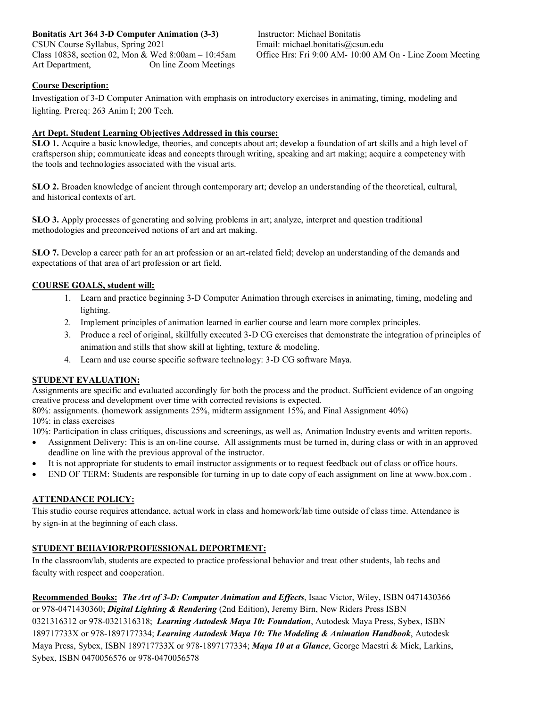**Bonitatis Art 364 3-D Computer Animation (3-3)** CSUN Course Syllabus, Spring 2021 Class 10838, section 02, Mon & Wed 8:00am – 10:45am Art Department, On line Zoom Meetings

Instructor: Michael Bonitatis Email: michael.bonitatis@csun.edu Office Hrs: Fri 9:00 AM- 10:00 AM On - Line Zoom Meeting

# **Course Description:**

Investigation of 3-D Computer Animation with emphasis on introductory exercises in animating, timing, modeling and lighting. Prereq: 263 Anim I; 200 Tech.

## **Art Dept. Student Learning Objectives Addressed in this course:**

**SLO 1.** Acquire a basic knowledge, theories, and concepts about art; develop a foundation of art skills and a high level of craftsperson ship; communicate ideas and concepts through writing, speaking and art making; acquire a competency with the tools and technologies associated with the visual arts.

**SLO 2.** Broaden knowledge of ancient through contemporary art; develop an understanding of the theoretical, cultural, and historical contexts of art.

**SLO 3.** Apply processes of generating and solving problems in art; analyze, interpret and question traditional methodologies and preconceived notions of art and art making.

**SLO 7.** Develop a career path for an art profession or an art-related field; develop an understanding of the demands and expectations of that area of art profession or art field.

#### **COURSE GOALS, student will:**

- 1. Learn and practice beginning 3-D Computer Animation through exercises in animating, timing, modeling and lighting.
- 2. Implement principles of animation learned in earlier course and learn more complex principles.
- 3. Produce a reel of original, skillfully executed 3-D CG exercises that demonstrate the integration of principles of animation and stills that show skill at lighting, texture & modeling.
- 4. Learn and use course specific software technology: 3-D CG software Maya.

#### **STUDENT EVALUATION:**

Assignments are specific and evaluated accordingly for both the process and the product. Sufficient evidence of an ongoing creative process and development over time with corrected revisions is expected.

80%: assignments. (homework assignments 25%, midterm assignment 15%, and Final Assignment 40%) 10%: in class exercises

10%: Participation in class critiques, discussions and screenings, as well as, Animation Industry events and written reports.

- Assignment Delivery: This is an on-line course. All assignments must be turned in, during class or with in an approved deadline on line with the previous approval of the instructor.
- It is not appropriate for students to email instructor assignments or to request feedback out of class or office hours.
- END OF TERM: Students are responsible for turning in up to date copy of each assignment on line at www.box.com .

#### **ATTENDANCE POLICY:**

This studio course requires attendance, actual work in class and homework/lab time outside of class time. Attendance is by sign-in at the beginning of each class.

## **STUDENT BEHAVIOR/PROFESSIONAL DEPORTMENT:**

In the classroom/lab, students are expected to practice professional behavior and treat other students, lab techs and faculty with respect and cooperation.

**Recommended Books:** *The Art of 3-D: Computer Animation and Effects*, Isaac Victor, Wiley, ISBN 0471430366 or 978-0471430360; *Digital Lighting & Rendering* (2nd Edition), Jeremy Birn, New Riders Press ISBN 0321316312 or 978-0321316318; *Learning Autodesk Maya 10: Foundation*, Autodesk Maya Press, Sybex, ISBN 189717733X or 978-1897177334; *Learning Autodesk Maya 10: The Modeling & Animation Handbook*, Autodesk Maya Press, Sybex, ISBN 189717733X or 978-1897177334; *Maya 10 at a Glance*, George Maestri & Mick, Larkins, Sybex, ISBN 0470056576 or 978-0470056578